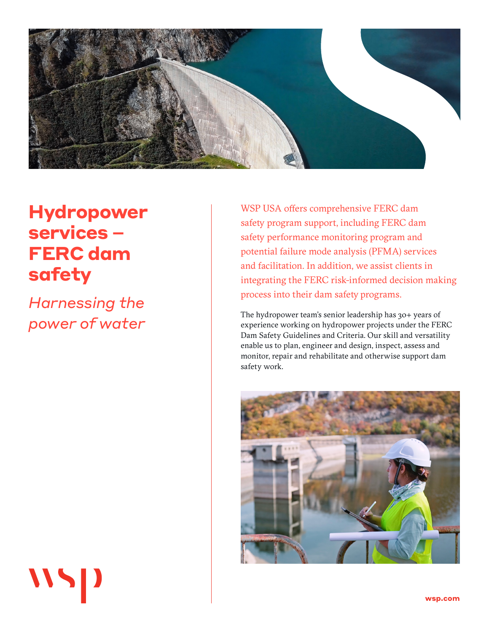

# **Hydropower services – FERC dam safety**

*Harnessing the power of water* 

 $\overline{115}$ 

WSP USA offers comprehensive FERC dam safety program support, including FERC dam safety performance monitoring program and potential failure mode analysis (PFMA) services and facilitation. In addition, we assist clients in integrating the FERC risk-informed decision making process into their dam safety programs.

The hydropower team's senior leadership has 30+ years of experience working on hydropower projects under the FERC Dam Safety Guidelines and Criteria. Our skill and versatility enable us to plan, engineer and design, inspect, assess and monitor, repair and rehabilitate and otherwise support dam safety work.